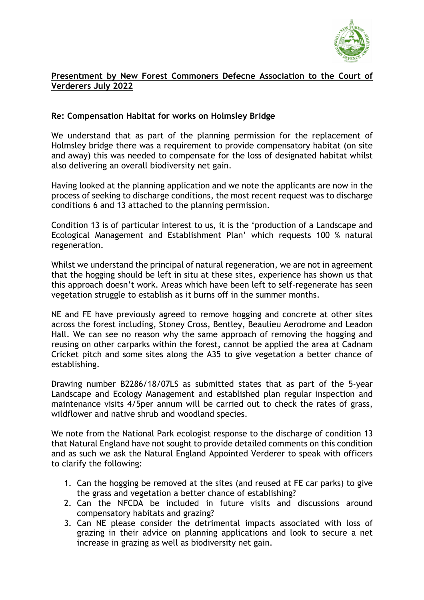

## **Presentment by New Forest Commoners Defecne Association to the Court of Verderers July 2022**

## **Re: Compensation Habitat for works on Holmsley Bridge**

We understand that as part of the planning permission for the replacement of Holmsley bridge there was a requirement to provide compensatory habitat (on site and away) this was needed to compensate for the loss of designated habitat whilst also delivering an overall biodiversity net gain.

Having looked at the planning application and we note the applicants are now in the process of seeking to discharge conditions, the most recent request was to discharge conditions 6 and 13 attached to the planning permission.

Condition 13 is of particular interest to us, it is the 'production of a Landscape and Ecological Management and Establishment Plan' which requests 100 % natural regeneration.

Whilst we understand the principal of natural regeneration, we are not in agreement that the hogging should be left in situ at these sites, experience has shown us that this approach doesn't work. Areas which have been left to self-regenerate has seen vegetation struggle to establish as it burns off in the summer months.

NE and FE have previously agreed to remove hogging and concrete at other sites across the forest including, Stoney Cross, Bentley, Beaulieu Aerodrome and Leadon Hall. We can see no reason why the same approach of removing the hogging and reusing on other carparks within the forest, cannot be applied the area at Cadnam Cricket pitch and some sites along the A35 to give vegetation a better chance of establishing.

Drawing number B2286/18/07LS as submitted states that as part of the 5-year Landscape and Ecology Management and established plan regular inspection and maintenance visits 4/5per annum will be carried out to check the rates of grass, wildflower and native shrub and woodland species.

We note from the National Park ecologist response to the discharge of condition 13 that Natural England have not sought to provide detailed comments on this condition and as such we ask the Natural England Appointed Verderer to speak with officers to clarify the following:

- 1. Can the hogging be removed at the sites (and reused at FE car parks) to give the grass and vegetation a better chance of establishing?
- 2. Can the NFCDA be included in future visits and discussions around compensatory habitats and grazing?
- 3. Can NE please consider the detrimental impacts associated with loss of grazing in their advice on planning applications and look to secure a net increase in grazing as well as biodiversity net gain.